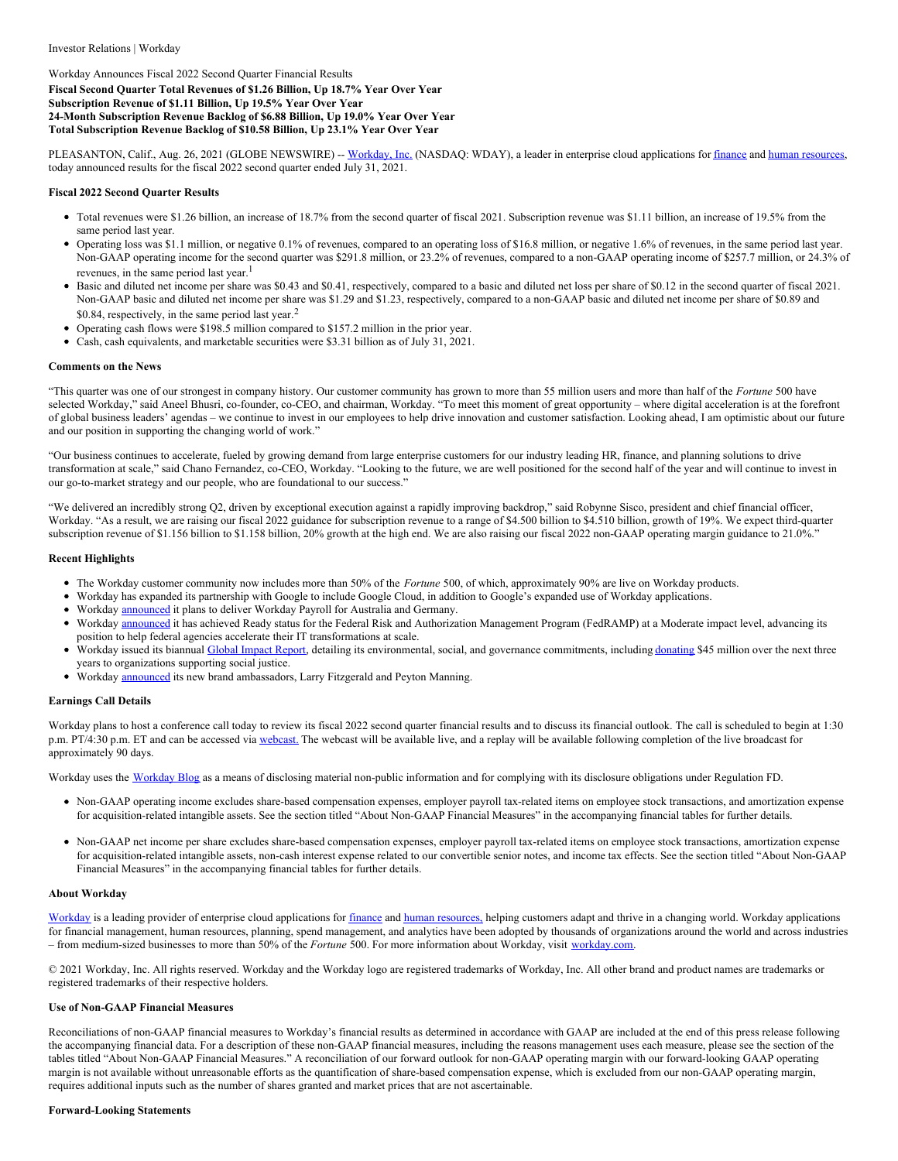#### Investor Relations | Workday

# Workday Announces Fiscal 2022 Second Quarter Financial Results

**Fiscal Second Quarter Total Revenues of \$1.26 Billion, Up 18.7% Year Over Year**

**Subscription Revenue of \$1.11 Billion, Up 19.5% Year Over Year**

#### **24-Month Subscription Revenue Backlog of \$6.88 Billion, Up 19.0% Year Over Year Total Subscription Revenue Backlog of \$10.58 Billion, Up 23.1% Year Over Year**

PLEASANTON, Calif., Aug. 26, 2021 (GLOBE NEWSWIRE) -- [Workday,](https://www.workday.com/en-us/homepage.html) Inc. (NASDAQ: WDAY), a leader in enterprise cloud applications for [finance](https://www.workday.com/en-us/applications/financial-management.html) and human [resources](https://www.workday.com/en-us/applications/human-capital-management.html), today announced results for the fiscal 2022 second quarter ended July 31, 2021.

# **Fiscal 2022 Second Quarter Results**

- Total revenues were \$1.26 billion, an increase of 18.7% from the second quarter of fiscal 2021. Subscription revenue was \$1.11 billion, an increase of 19.5% from the same period last year.
- Operating loss was \$1.1 million, or negative 0.1% of revenues, compared to an operating loss of \$16.8 million, or negative 1.6% of revenues, in the same period last year. Non-GAAP operating income for the second quarter was \$291.8 million, or 23.2% of revenues, compared to a non-GAAP operating income of \$257.7 million, or 24.3% of revenues, in the same period last year.<sup>1</sup>
- Basic and diluted net income per share was \$0.43 and \$0.41, respectively, compared to a basic and diluted net loss per share of \$0.12 in the second quarter of fiscal 2021. Non-GAAP basic and diluted net income per share was \$1.29 and \$1.23, respectively, compared to a non-GAAP basic and diluted net income per share of \$0.89 and \$0.84, respectively, in the same period last year.<sup>2</sup>
- Operating cash flows were \$198.5 million compared to \$157.2 million in the prior year.
- Cash, cash equivalents, and marketable securities were \$3.31 billion as of July 31, 2021.

#### **Comments on the News**

"This quarter was one of our strongest in company history. Our customer community has grown to more than 55 million users and more than half of the *Fortune* 500 have selected Workday," said Aneel Bhusri, co-founder, co-CEO, and chairman, Workday. "To meet this moment of great opportunity – where digital acceleration is at the forefront of global business leaders' agendas – we continue to invest in our employees to help drive innovation and customer satisfaction. Looking ahead, I am optimistic about our future and our position in supporting the changing world of work."

"Our business continues to accelerate, fueled by growing demand from large enterprise customers for our industry leading HR, finance, and planning solutions to drive transformation at scale," said Chano Fernandez, co-CEO, Workday. "Looking to the future, we are well positioned for the second half of the year and will continue to invest in our go-to-market strategy and our people, who are foundational to our success."

"We delivered an incredibly strong Q2, driven by exceptional execution against a rapidly improving backdrop," said Robynne Sisco, president and chief financial officer, Workday. "As a result, we are raising our fiscal 2022 guidance for subscription revenue to a range of \$4.500 billion to \$4.510 billion, growth of 19%. We expect third-quarter subscription revenue of \$1.156 billion to \$1.158 billion, 20% growth at the high end. We are also raising our fiscal 2022 non-GAAP operating margin guidance to 21.0%."

#### **Recent Highlights**

- The Workday customer community now includes more than 50% of the *Fortune* 500, of which, approximately 90% are live on Workday products.
- Workday has expanded its partnership with Google to include Google Cloud, in addition to Google's expanded use of Workday applications.
- Workday **[announced](https://www.workday.com/en-us/company/latest/newsroom/press-releases/press-release-details.html?id=2243685)** it plans to deliver Workday Payroll for Australia and Germany.
- Workday [announced](https://www.workday.com/en-us/company/latest/newsroom/press-releases/press-release-details.html?id=2283079) it has achieved Ready status for the Federal Risk and Authorization Management Program (FedRAMP) at a Moderate impact level, advancing its position to help federal agencies accelerate their IT transformations at scale.
- Workday issued its biannual Global Impact [Report,](https://www.workday.com/content/dam/web/en-us/documents/other/workday-2021-global-impact-report.pdf) detailing its environmental, social, and governance commitments, including [donating](https://shared.outlook.inky.com/link?domain=blog.workday.com&t=eyJ0eXAiOiJKV1QiLCJhbGciOiJFUzI1NiJ9.eJxVUF1LwzAU_S95Xj9M8WEFYROnMJaOQacWCiNtrlvafNQktevE_246fdCn-3HO5Z5zPpEDKjlDKeLKGco0mk0dGEUFSt-osDBD4GHLtQqNPoKxi0GbltExrLX09On4_6Y3_hadnOtsWkZlVAl9DP9QyghU0NsywjGOy-gXCTwiuZOgnA1s33XauADee-7GgKtgYnWC1hBQxa7cXnHHwYYnJ4X_ut2jVPVCzJA7GaDuIOADvJDYO5o00pfbuJaPbTXOL-z1fqiSdbx7YrbCa1HJ56ROWFfLfV_gudvgrMnyJSaXTJBmlRSSnLd-LjC5KXIykpy1Wb7CpBHt5uLrZTmQh-U5a1Z9lu_uphAsmANIysWBMmbA2inFH1uLo9AVKBjswA1cU_v6BmIbido.MEUCICZdjAFhohQFuUtHuW5vLHSZtMm1Oc0Brhdi5O-5RJ8jAiEA0pPDukg9NxIrQIgb12iGirlHwn5ixZy2SKkilV2nNfw) \$45 million over the next three years to organizations supporting social justice.
- Workday **[announced](https://blog.workday.com/en-us/2021/workday-welcomes-larry-fitzgerald-and-peyton-manning-as-brand-ambassadors.html)** its new brand ambassadors, Larry Fitzgerald and Peyton Manning.

#### **Earnings Call Details**

Workday plans to host a conference call today to review its fiscal 2022 second quarter financial results and to discuss its financial outlook. The call is scheduled to begin at 1:30 p.m. PT/4:30 p.m. ET and can be accessed via [webcast.](https://edge.media-server.com/mmc/p/8x7nnjza) The webcast will be available live, and a replay will be available following completion of the live broadcast for approximately 90 days.

Workday uses the [Workday](https://blog.workday.com/) Blog as a means of disclosing material non-public information and for complying with its disclosure obligations under Regulation FD.

- Non-GAAP operating income excludes share-based compensation expenses, employer payroll tax-related items on employee stock transactions, and amortization expense for acquisition-related intangible assets. See the section titled "About Non-GAAP Financial Measures" in the accompanying financial tables for further details.
- Non-GAAP net income per share excludes share-based compensation expenses, employer payroll tax-related items on employee stock transactions, amortization expense for acquisition-related intangible assets, non-cash interest expense related to our convertible senior notes, and income tax effects. See the section titled "About Non-GAAP Financial Measures" in the accompanying financial tables for further details.

#### **About Workday**

[Workday](https://www.workday.com/en-us/homepage.html) is a leading provider of enterprise cloud applications for [finance](https://www.workday.com/en-us/applications/financial-management.html) and human [resources,](https://www.workday.com/en-us/products/human-capital-management/overview.html) helping customers adapt and thrive in a changing world. Workday applications for financial management, human resources, planning, spend management, and analytics have been adopted by thousands of organizations around the world and across industries – from medium-sized businesses to more than 50% of the *Fortune* 500. For more information about Workday, visit [workday.com](https://www.workday.com/).

© 2021 Workday, Inc. All rights reserved. Workday and the Workday logo are registered trademarks of Workday, Inc. All other brand and product names are trademarks or registered trademarks of their respective holders.

# **Use of Non-GAAP Financial Measures**

Reconciliations of non-GAAP financial measures to Workday's financial results as determined in accordance with GAAP are included at the end of this press release following the accompanying financial data. For a description of these non-GAAP financial measures, including the reasons management uses each measure, please see the section of the tables titled "About Non-GAAP Financial Measures." A reconciliation of our forward outlook for non-GAAP operating margin with our forward-looking GAAP operating margin is not available without unreasonable efforts as the quantification of share-based compensation expense, which is excluded from our non-GAAP operating margin, requires additional inputs such as the number of shares granted and market prices that are not ascertainable.

# **Forward-Looking Statements**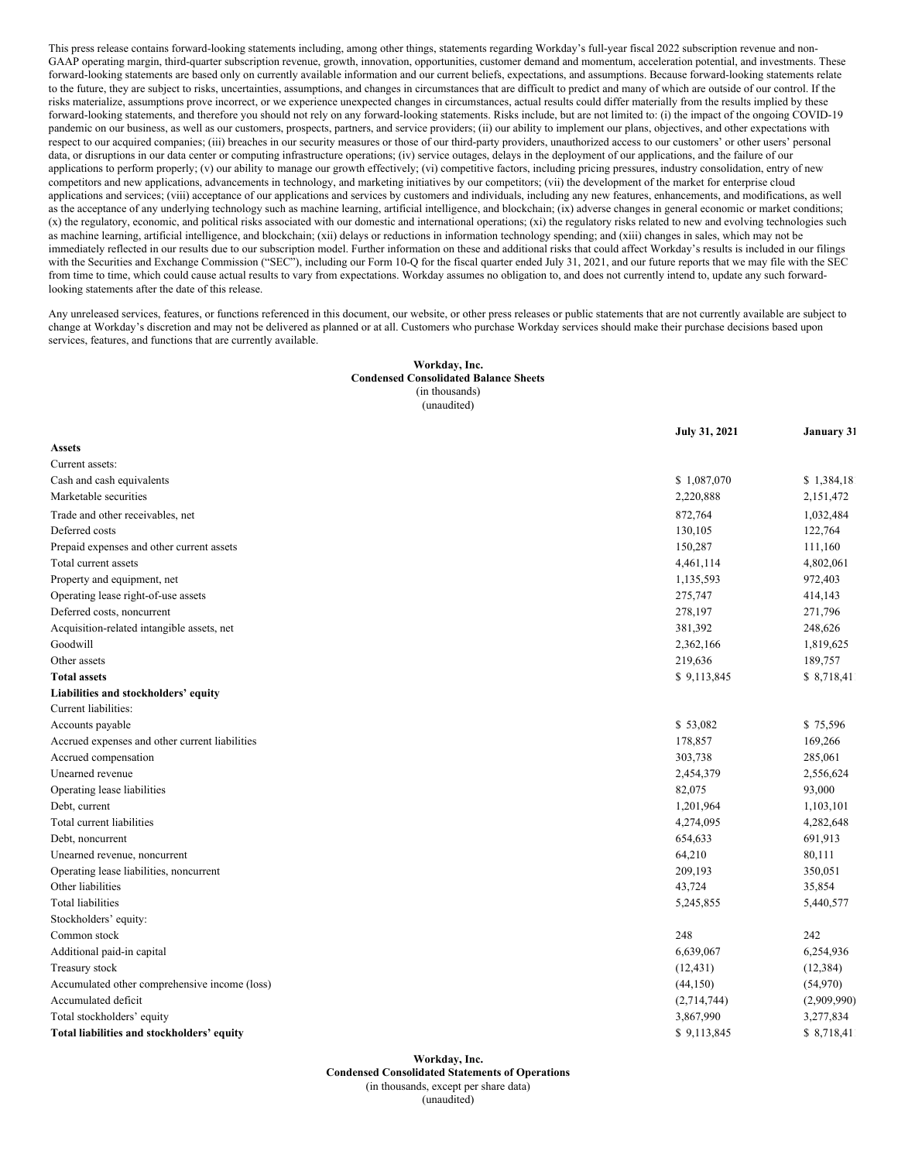This press release contains forward-looking statements including, among other things, statements regarding Workday's full-year fiscal 2022 subscription revenue and non-GAAP operating margin, third-quarter subscription revenue, growth, innovation, opportunities, customer demand and momentum, acceleration potential, and investments. These forward-looking statements are based only on currently available information and our current beliefs, expectations, and assumptions. Because forward-looking statements relate to the future, they are subject to risks, uncertainties, assumptions, and changes in circumstances that are difficult to predict and many of which are outside of our control. If the risks materialize, assumptions prove incorrect, or we experience unexpected changes in circumstances, actual results could differ materially from the results implied by these forward-looking statements, and therefore you should not rely on any forward-looking statements. Risks include, but are not limited to: (i) the impact of the ongoing COVID-19 pandemic on our business, as well as our customers, prospects, partners, and service providers; (ii) our ability to implement our plans, objectives, and other expectations with respect to our acquired companies; (iii) breaches in our security measures or those of our third-party providers, unauthorized access to our customers' or other users' personal data, or disruptions in our data center or computing infrastructure operations; (iv) service outages, delays in the deployment of our applications, and the failure of our applications to perform properly; (v) our ability to manage our growth effectively; (vi) competitive factors, including pricing pressures, industry consolidation, entry of new competitors and new applications, advancements in technology, and marketing initiatives by our competitors; (vii) the development of the market for enterprise cloud applications and services; (viii) acceptance of our applications and services by customers and individuals, including any new features, enhancements, and modifications, as well as the acceptance of any underlying technology such as machine learning, artificial intelligence, and blockchain; (ix) adverse changes in general economic or market conditions; (x) the regulatory, economic, and political risks associated with our domestic and international operations; (xi) the regulatory risks related to new and evolving technologies such as machine learning, artificial intelligence, and blockchain; (xii) delays or reductions in information technology spending; and (xiii) changes in sales, which may not be immediately reflected in our results due to our subscription model. Further information on these and additional risks that could affect Workday's results is included in our filings with the Securities and Exchange Commission ("SEC"), including our Form 10-Q for the fiscal quarter ended July 31, 2021, and our future reports that we may file with the SEC from time to time, which could cause actual results to vary from expectations. Workday assumes no obligation to, and does not currently intend to, update any such forwardlooking statements after the date of this release.

Any unreleased services, features, or functions referenced in this document, our website, or other press releases or public statements that are not currently available are subject to change at Workday's discretion and may not be delivered as planned or at all. Customers who purchase Workday services should make their purchase decisions based upon services, features, and functions that are currently available.

## **Workday, Inc. Condensed Consolidated Balance Sheets** (in thousands) (unaudited)

|                                                | July 31, 2021 | January 31  |
|------------------------------------------------|---------------|-------------|
| <b>Assets</b>                                  |               |             |
| Current assets:                                |               |             |
| Cash and cash equivalents                      | \$1,087,070   | \$1,384,18  |
| Marketable securities                          | 2,220,888     | 2,151,472   |
| Trade and other receivables, net               | 872,764       | 1,032,484   |
| Deferred costs                                 | 130,105       | 122,764     |
| Prepaid expenses and other current assets      | 150,287       | 111,160     |
| Total current assets                           | 4,461,114     | 4,802,061   |
| Property and equipment, net                    | 1,135,593     | 972,403     |
| Operating lease right-of-use assets            | 275,747       | 414,143     |
| Deferred costs, noncurrent                     | 278,197       | 271,796     |
| Acquisition-related intangible assets, net     | 381,392       | 248,626     |
| Goodwill                                       | 2,362,166     | 1,819,625   |
| Other assets                                   | 219,636       | 189,757     |
| <b>Total assets</b>                            | \$9,113,845   | \$8,718,41  |
| Liabilities and stockholders' equity           |               |             |
| Current liabilities:                           |               |             |
| Accounts payable                               | \$53,082      | \$75,596    |
| Accrued expenses and other current liabilities | 178,857       | 169,266     |
| Accrued compensation                           | 303,738       | 285,061     |
| Unearned revenue                               | 2,454,379     | 2,556,624   |
| Operating lease liabilities                    | 82,075        | 93,000      |
| Debt, current                                  | 1,201,964     | 1,103,101   |
| Total current liabilities                      | 4,274,095     | 4,282,648   |
| Debt, noncurrent                               | 654,633       | 691,913     |
| Unearned revenue, noncurrent                   | 64,210        | 80,111      |
| Operating lease liabilities, noncurrent        | 209,193       | 350,051     |
| Other liabilities                              | 43,724        | 35,854      |
| <b>Total liabilities</b>                       | 5,245,855     | 5,440,577   |
| Stockholders' equity:                          |               |             |
| Common stock                                   | 248           | 242         |
| Additional paid-in capital                     | 6,639,067     | 6,254,936   |
| Treasury stock                                 | (12, 431)     | (12, 384)   |
| Accumulated other comprehensive income (loss)  | (44, 150)     | (54,970)    |
| Accumulated deficit                            | (2,714,744)   | (2,909,990) |
| Total stockholders' equity                     | 3,867,990     | 3,277,834   |
| Total liabilities and stockholders' equity     | \$9,113,845   | \$8,718,41  |

**Workday, Inc. Condensed Consolidated Statements of Operations** (in thousands, except per share data) (unaudited)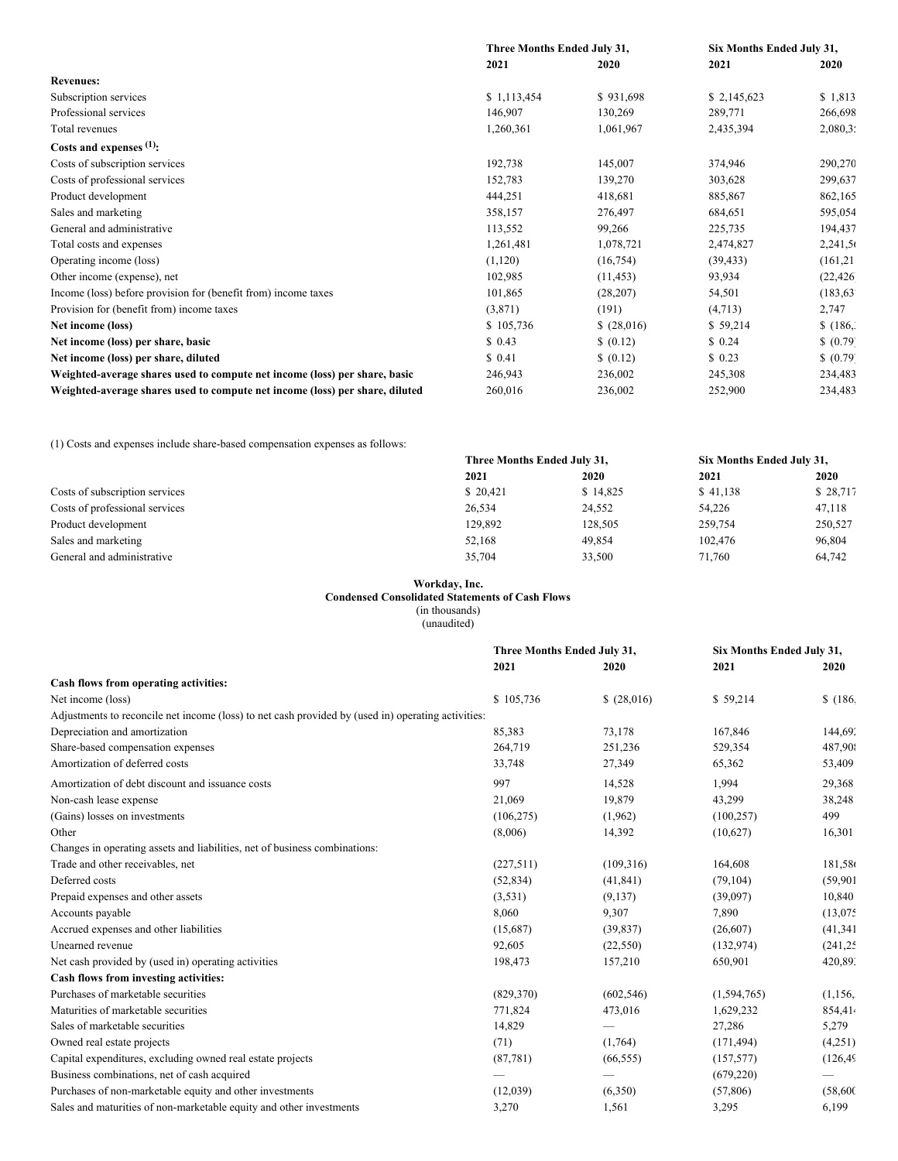|                                                                              | Three Months Ended July 31, |            | Six Months Ended July 31, |           |
|------------------------------------------------------------------------------|-----------------------------|------------|---------------------------|-----------|
|                                                                              | 2021                        | 2020       | 2021                      | 2020      |
| <b>Revenues:</b>                                                             |                             |            |                           |           |
| Subscription services                                                        | \$1,113,454                 | \$931,698  | \$2,145,623               | \$1,813   |
| Professional services                                                        | 146,907                     | 130,269    | 289,771                   | 266,698   |
| Total revenues                                                               | 1,260,361                   | 1,061,967  | 2,435,394                 | 2,080,3.  |
| Costs and expenses $(1)$ :                                                   |                             |            |                           |           |
| Costs of subscription services                                               | 192,738                     | 145,007    | 374,946                   | 290,270   |
| Costs of professional services                                               | 152,783                     | 139,270    | 303,628                   | 299,637   |
| Product development                                                          | 444,251                     | 418,681    | 885,867                   | 862,165   |
| Sales and marketing                                                          | 358,157                     | 276,497    | 684,651                   | 595,054   |
| General and administrative                                                   | 113,552                     | 99,266     | 225,735                   | 194,437   |
| Total costs and expenses                                                     | 1,261,481                   | 1,078,721  | 2,474,827                 | 2,241,56  |
| Operating income (loss)                                                      | (1,120)                     | (16, 754)  | (39, 433)                 | (161, 21) |
| Other income (expense), net                                                  | 102,985                     | (11, 453)  | 93,934                    | (22, 426) |
| Income (loss) before provision for (benefit from) income taxes               | 101,865                     | (28, 207)  | 54,501                    | (183, 63) |
| Provision for (benefit from) income taxes                                    | (3,871)                     | (191)      | (4,713)                   | 2,747     |
| Net income (loss)                                                            | \$105,736                   | \$(28,016) | \$59,214                  | \$(186,   |
| Net income (loss) per share, basic                                           | \$0.43                      | \$ (0.12)  | \$0.24                    | \$ (0.79) |
| Net income (loss) per share, diluted                                         | \$0.41                      | \$ (0.12)  | \$0.23                    | \$ (0.79) |
| Weighted-average shares used to compute net income (loss) per share, basic   | 246,943                     | 236,002    | 245,308                   | 234,483   |
| Weighted-average shares used to compute net income (loss) per share, diluted | 260,016                     | 236,002    | 252,900                   | 234,483   |

(1) Costs and expenses include share-based compensation expenses as follows:

|                                |          | Three Months Ended July 31, |          | Six Months Ended July 31, |  |
|--------------------------------|----------|-----------------------------|----------|---------------------------|--|
|                                | 2021     | 2020                        | 2021     | 2020                      |  |
| Costs of subscription services | \$20.421 | \$14,825                    | \$41.138 | \$28,717                  |  |
| Costs of professional services | 26.534   | 24,552                      | 54,226   | 47,118                    |  |
| Product development            | 129.892  | 128.505                     | 259,754  | 250,527                   |  |
| Sales and marketing            | 52,168   | 49.854                      | 102.476  | 96,804                    |  |
| General and administrative     | 35,704   | 33,500                      | 71.760   | 64.742                    |  |

# **Workday, Inc. Condensed Consolidated Statements of Cash Flows** (in thousands)

(unaudited)

|                                                                                                    |            | Three Months Ended July 31, |             | Six Months Ended July 31, |
|----------------------------------------------------------------------------------------------------|------------|-----------------------------|-------------|---------------------------|
|                                                                                                    | 2021       | 2020                        | 2021        | 2020                      |
| Cash flows from operating activities:                                                              |            |                             |             |                           |
| Net income (loss)                                                                                  | \$105,736  | \$(28,016)                  | \$59,214    | \$(186,                   |
| Adjustments to reconcile net income (loss) to net cash provided by (used in) operating activities: |            |                             |             |                           |
| Depreciation and amortization                                                                      | 85,383     | 73,178                      | 167,846     | 144,692                   |
| Share-based compensation expenses                                                                  | 264,719    | 251,236                     | 529,354     | 487,908                   |
| Amortization of deferred costs                                                                     | 33,748     | 27,349                      | 65,362      | 53,409                    |
| Amortization of debt discount and issuance costs                                                   | 997        | 14,528                      | 1,994       | 29,368                    |
| Non-cash lease expense                                                                             | 21,069     | 19,879                      | 43,299      | 38,248                    |
| (Gains) losses on investments                                                                      | (106, 275) | (1,962)                     | (100, 257)  | 499                       |
| Other                                                                                              | (8,006)    | 14,392                      | (10,627)    | 16,301                    |
| Changes in operating assets and liabilities, net of business combinations:                         |            |                             |             |                           |
| Trade and other receivables, net                                                                   | (227,511)  | (109,316)                   | 164,608     | 181,586                   |
| Deferred costs                                                                                     | (52, 834)  | (41, 841)                   | (79, 104)   | (59, 901)                 |
| Prepaid expenses and other assets                                                                  | (3,531)    | (9,137)                     | (39,097)    | 10,840                    |
| Accounts payable                                                                                   | 8,060      | 9,307                       | 7,890       | (13,075)                  |
| Accrued expenses and other liabilities                                                             | (15,687)   | (39, 837)                   | (26,607)    | (41, 341)                 |
| Unearned revenue                                                                                   | 92,605     | (22, 550)                   | (132, 974)  | (241, 25)                 |
| Net cash provided by (used in) operating activities                                                | 198,473    | 157,210                     | 650,901     | 420,89.                   |
| Cash flows from investing activities:                                                              |            |                             |             |                           |
| Purchases of marketable securities                                                                 | (829,370)  | (602, 546)                  | (1,594,765) | (1,156,                   |
| Maturities of marketable securities                                                                | 771,824    | 473,016                     | 1,629,232   | 854,414                   |
| Sales of marketable securities                                                                     | 14,829     |                             | 27,286      | 5,279                     |
| Owned real estate projects                                                                         | (71)       | (1,764)                     | (171, 494)  | (4,251)                   |
| Capital expenditures, excluding owned real estate projects                                         | (87, 781)  | (66, 555)                   | (157, 577)  | (126, 49)                 |
| Business combinations, net of cash acquired                                                        |            |                             | (679, 220)  |                           |
| Purchases of non-marketable equity and other investments                                           | (12,039)   | (6,350)                     | (57,806)    | (58,600)                  |
| Sales and maturities of non-marketable equity and other investments                                | 3,270      | 1,561                       | 3,295       | 6,199                     |
|                                                                                                    |            |                             |             |                           |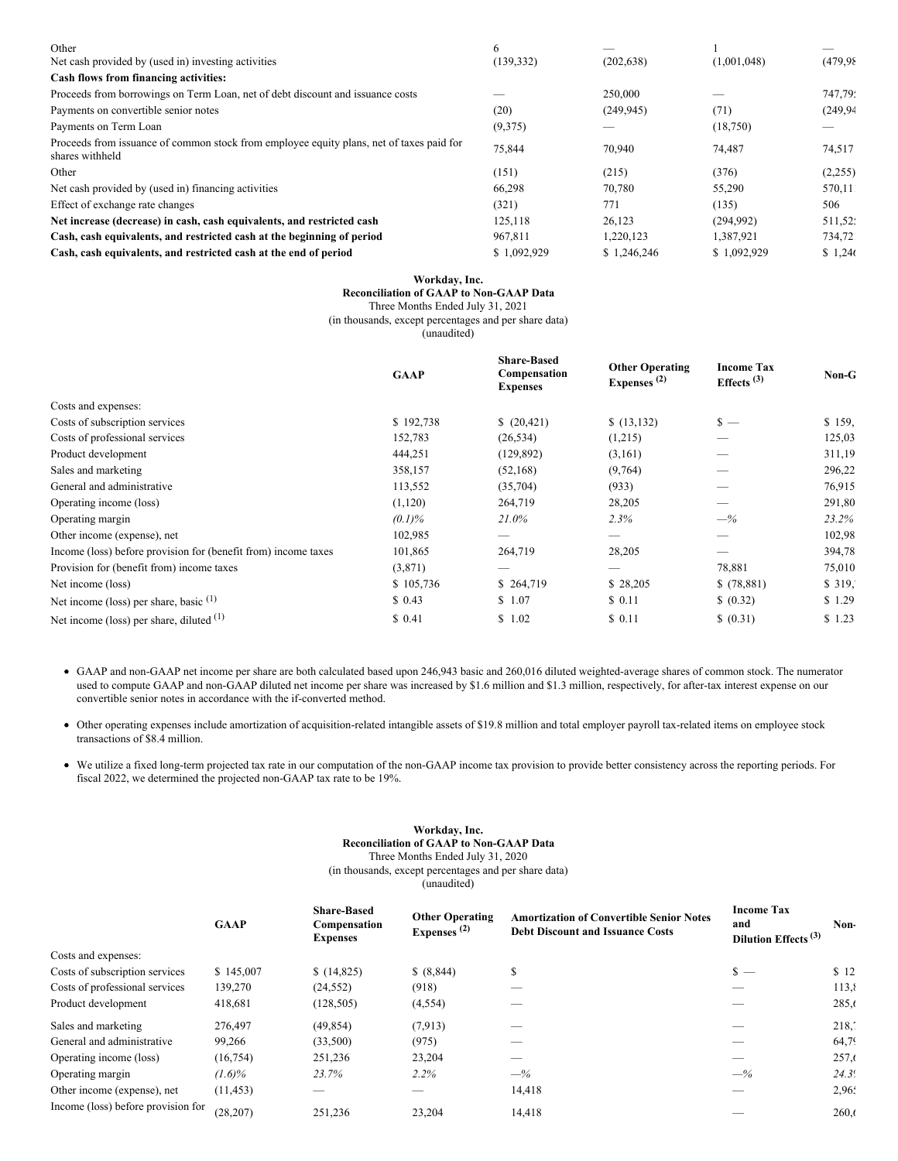| Other                                                                                                       | 6           |             |             |          |
|-------------------------------------------------------------------------------------------------------------|-------------|-------------|-------------|----------|
| Net cash provided by (used in) investing activities                                                         | (139, 332)  | (202, 638)  | (1,001,048) | (479,98) |
| Cash flows from financing activities:                                                                       |             |             |             |          |
| Proceeds from borrowings on Term Loan, net of debt discount and issuance costs                              |             | 250,000     |             | 747,79.  |
| Payments on convertible senior notes                                                                        | (20)        | (249, 945)  | (71)        | (249.94) |
| Payments on Term Loan                                                                                       | (9,375)     |             | (18,750)    |          |
| Proceeds from issuance of common stock from employee equity plans, net of taxes paid for<br>shares withheld | 75,844      | 70,940      | 74,487      | 74,517   |
| Other                                                                                                       | (151)       | (215)       | (376)       | (2,255)  |
| Net cash provided by (used in) financing activities                                                         | 66,298      | 70,780      | 55,290      | 570,11   |
| Effect of exchange rate changes                                                                             | (321)       | 771         | (135)       | 506      |
| Net increase (decrease) in cash, cash equivalents, and restricted cash                                      | 125,118     | 26,123      | (294,992)   | 511,52:  |
| Cash, cash equivalents, and restricted cash at the beginning of period                                      | 967,811     | 1,220,123   | 1,387,921   | 734.72   |
| Cash, cash equivalents, and restricted cash at the end of period                                            | \$1.092.929 | \$1.246,246 | \$1.092.929 | \$1,24   |

# **Workday, Inc.**

**Reconciliation of GAAP to Non-GAAP Data**

Three Months Ended July 31, 2021

(in thousands, except percentages and per share data)  $(u$ 

| inaudited) |  |
|------------|--|
|            |  |
|            |  |
|            |  |

|                                                                | <b>GAAP</b> | <b>Share-Based</b><br>Compensation<br><b>Expenses</b> | <b>Other Operating</b><br>Expenses <sup>(2)</sup> | <b>Income Tax</b><br>Effects $(3)$ | $Non-G$  |
|----------------------------------------------------------------|-------------|-------------------------------------------------------|---------------------------------------------------|------------------------------------|----------|
| Costs and expenses:                                            |             |                                                       |                                                   |                                    |          |
| Costs of subscription services                                 | \$192,738   | (20, 421)                                             | \$(13,132)                                        | $s -$                              | $$159$ . |
| Costs of professional services                                 | 152,783     | (26, 534)                                             | (1,215)                                           |                                    | 125,03   |
| Product development                                            | 444,251     | (129, 892)                                            | (3,161)                                           |                                    | 311,19   |
| Sales and marketing                                            | 358,157     | (52, 168)                                             | (9,764)                                           |                                    | 296,22   |
| General and administrative                                     | 113,552     | (35,704)                                              | (933)                                             |                                    | 76,915   |
| Operating income (loss)                                        | (1,120)     | 264,719                                               | 28,205                                            | --                                 | 291,80   |
| Operating margin                                               | $(0.1)\%$   | 21.0%                                                 | 2.3%                                              | $-\%$                              | 23.2%    |
| Other income (expense), net                                    | 102,985     |                                                       |                                                   |                                    | 102,98   |
| Income (loss) before provision for (benefit from) income taxes | 101,865     | 264,719                                               | 28,205                                            |                                    | 394,78   |
| Provision for (benefit from) income taxes                      | (3,871)     |                                                       |                                                   | 78,881                             | 75,010   |
| Net income (loss)                                              | \$105,736   | \$264,719                                             | \$28,205                                          | \$(78,881)                         | \$319.   |
| Net income (loss) per share, basic $(1)$                       | \$0.43      | \$1.07                                                | \$0.11                                            | \$ (0.32)                          | \$1.29   |
| Net income (loss) per share, diluted $(1)$                     | \$0.41      | \$1.02                                                | \$0.11                                            | \$ (0.31)                          | \$1.23   |

- GAAP and non-GAAP net income per share are both calculated based upon 246,943 basic and 260,016 diluted weighted-average shares of common stock. The numerator used to compute GAAP and non-GAAP diluted net income per share was increased by \$1.6 million and \$1.3 million, respectively, for after-tax interest expense on our convertible senior notes in accordance with the if-converted method.
- Other operating expenses include amortization of acquisition-related intangible assets of \$19.8 million and total employer payroll tax-related items on employee stock transactions of \$8.4 million.
- We utilize a fixed long-term projected tax rate in our computation of the non-GAAP income tax provision to provide better consistency across the reporting periods. For fiscal 2022, we determined the projected non-GAAP tax rate to be 19%.

# **Workday, Inc. Reconciliation of GAAP to Non-GAAP Data** Three Months Ended July 31, 2020 (in thousands, except percentages and per share data) (unaudited)

|                                    | <b>GAAP</b> | <b>Share-Based</b><br>Compensation<br><b>Expenses</b> | <b>Other Operating</b><br>Expenses $(2)$ | <b>Amortization of Convertible Senior Notes</b><br><b>Debt Discount and Issuance Costs</b> | <b>Income Tax</b><br>and<br>Dilution Effects <sup>(3)</sup> | Non-  |
|------------------------------------|-------------|-------------------------------------------------------|------------------------------------------|--------------------------------------------------------------------------------------------|-------------------------------------------------------------|-------|
| Costs and expenses:                |             |                                                       |                                          |                                                                                            |                                                             |       |
| Costs of subscription services     | \$145,007   | \$(14,825)                                            | \$ (8,844)                               | S                                                                                          | $s -$                                                       | \$12  |
| Costs of professional services     | 139,270     | (24, 552)                                             | (918)                                    | __                                                                                         |                                                             | 113,  |
| Product development                | 418,681     | (128, 505)                                            | (4, 554)                                 |                                                                                            |                                                             | 285,6 |
| Sales and marketing                | 276,497     | (49, 854)                                             | (7,913)                                  | $\overline{\phantom{a}}$                                                                   | $\overline{\phantom{a}}$                                    | 218.7 |
| General and administrative         | 99,266      | (33,500)                                              | (975)                                    | _                                                                                          |                                                             | 64,79 |
| Operating income (loss)            | (16, 754)   | 251,236                                               | 23,204                                   | _                                                                                          |                                                             | 257,6 |
| Operating margin                   | $(1.6)\%$   | 23.7%                                                 | 2.2%                                     | $-\%$                                                                                      | $-\%$                                                       | 24.3% |
| Other income (expense), net        | (11, 453)   | _                                                     |                                          | 14,418                                                                                     |                                                             | 2,96. |
| Income (loss) before provision for | (28, 207)   | 251,236                                               | 23,204                                   | 14,418                                                                                     |                                                             | 260,t |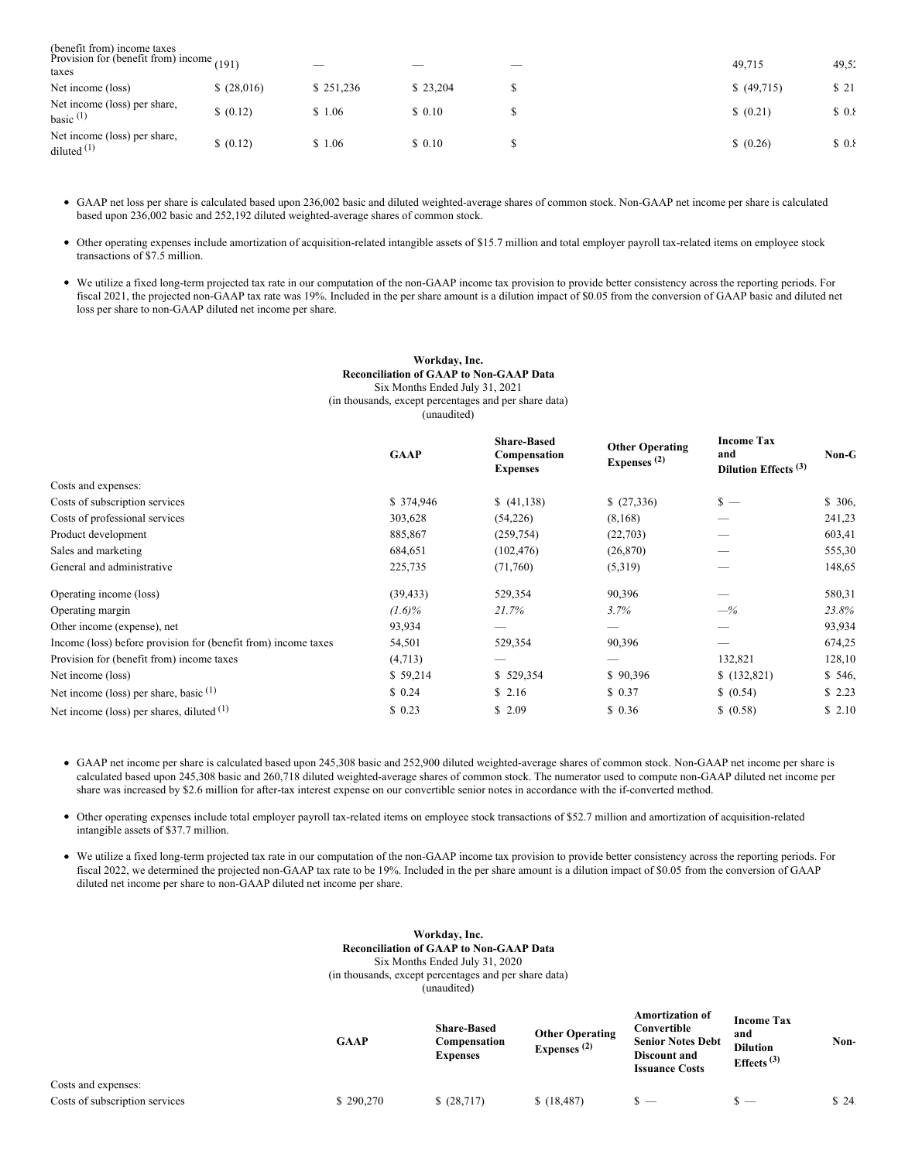| (benefit from) income taxes<br>Provision for (benefit from) income $(191)$<br>taxes |            | _         | $\overline{\phantom{a}}$ | $\overline{\phantom{a}}$ | 49.715      | 49.52    |
|-------------------------------------------------------------------------------------|------------|-----------|--------------------------|--------------------------|-------------|----------|
| Net income (loss)                                                                   | \$(28,016) | \$251,236 | \$23.204                 |                          | \$ (49,715) | \$21     |
| Net income (loss) per share,<br>basic $(1)$                                         | \$(0.12)   | \$1.06    | \$0.10                   |                          | \$ (0.21)   | $$0.\xi$ |
| Net income (loss) per share,<br>diluted $(1)$                                       | \$(0.12)   | \$1.06    | \$0.10                   |                          | \$ (0.26)   | $$0.\xi$ |

GAAP net loss per share is calculated based upon 236,002 basic and diluted weighted-average shares of common stock. Non-GAAP net income per share is calculated based upon 236,002 basic and 252,192 diluted weighted-average shares of common stock.

Other operating expenses include amortization of acquisition-related intangible assets of \$15.7 million and total employer payroll tax-related items on employee stock transactions of \$7.5 million.

We utilize a fixed long-term projected tax rate in our computation of the non-GAAP income tax provision to provide better consistency across the reporting periods. For fiscal 2021, the projected non-GAAP tax rate was 19%. Included in the per share amount is a dilution impact of \$0.05 from the conversion of GAAP basic and diluted net loss per share to non-GAAP diluted net income per share.

#### **Workday, Inc. Reconciliation of GAAP to Non-GAAP Data** Six Months Ended July 31, 2021 (in thousands, except percentages and per share data) (unaudited)

|                                                                | <b>GAAP</b> | <b>Share-Based</b><br>Compensation<br><b>Expenses</b> | <b>Other Operating</b><br>Expenses <sup>(2)</sup> | <b>Income Tax</b><br>and<br>Dilution Effects $(3)$ | Non-G  |
|----------------------------------------------------------------|-------------|-------------------------------------------------------|---------------------------------------------------|----------------------------------------------------|--------|
| Costs and expenses:                                            |             |                                                       |                                                   |                                                    |        |
| Costs of subscription services                                 | \$374,946   | (41, 138)                                             | (27,336)                                          | $s =$                                              | \$306. |
| Costs of professional services                                 | 303,628     | (54, 226)                                             | (8,168)                                           |                                                    | 241,23 |
| Product development                                            | 885,867     | (259, 754)                                            | (22,703)                                          |                                                    | 603,41 |
| Sales and marketing                                            | 684,651     | (102, 476)                                            | (26, 870)                                         |                                                    | 555,30 |
| General and administrative                                     | 225,735     | (71,760)                                              | (5,319)                                           | _                                                  | 148,65 |
| Operating income (loss)                                        | (39, 433)   | 529,354                                               | 90,396                                            |                                                    | 580,31 |
| Operating margin                                               | $(1.6)\%$   | 21.7%                                                 | 3.7%                                              | $-\%$                                              | 23.8%  |
| Other income (expense), net                                    | 93,934      |                                                       |                                                   |                                                    | 93,934 |
| Income (loss) before provision for (benefit from) income taxes | 54,501      | 529,354                                               | 90,396                                            |                                                    | 674,25 |
| Provision for (benefit from) income taxes                      | (4,713)     |                                                       |                                                   | 132,821                                            | 128,10 |
| Net income (loss)                                              | \$59,214    | \$529,354                                             | \$90,396                                          | \$(132,821)                                        | \$546, |
| Net income (loss) per share, basic $(1)$                       | \$0.24      | \$2.16                                                | \$0.37                                            | \$ (0.54)                                          | \$2.23 |
| Net income (loss) per shares, diluted $(1)$                    | \$0.23      | \$2.09                                                | \$0.36                                            | \$ (0.58)                                          | \$2.10 |

- GAAP net income per share is calculated based upon 245,308 basic and 252,900 diluted weighted-average shares of common stock. Non-GAAP net income per share is calculated based upon 245,308 basic and 260,718 diluted weighted-average shares of common stock. The numerator used to compute non-GAAP diluted net income per share was increased by \$2.6 million for after-tax interest expense on our convertible senior notes in accordance with the if-converted method.
- $\bullet$ Other operating expenses include total employer payroll tax-related items on employee stock transactions of \$52.7 million and amortization of acquisition-related intangible assets of \$37.7 million.
- We utilize a fixed long-term projected tax rate in our computation of the non-GAAP income tax provision to provide better consistency across the reporting periods. For fiscal 2022, we determined the projected non-GAAP tax rate to be 19%. Included in the per share amount is a dilution impact of \$0.05 from the conversion of GAAP diluted net income per share to non-GAAP diluted net income per share.

| Workday, Inc.                                         |  |  |  |  |
|-------------------------------------------------------|--|--|--|--|
| <b>Reconciliation of GAAP to Non-GAAP Data</b>        |  |  |  |  |
| Six Months Ended July 31, 2020                        |  |  |  |  |
| (in thousands, except percentages and per share data) |  |  |  |  |
| (unaudited)                                           |  |  |  |  |

|                                | <b>GAAP</b> | <b>Share-Based</b><br>Compensation<br><b>Expenses</b> | <b>Other Operating</b><br>Expenses $(2)$ | <b>Amortization of</b><br>Convertible<br><b>Senior Notes Debt</b><br>Discount and<br><b>Issuance Costs</b> | <b>Income Tax</b><br>and<br><b>Dilution</b><br>Effects $(3)$ | Non- |
|--------------------------------|-------------|-------------------------------------------------------|------------------------------------------|------------------------------------------------------------------------------------------------------------|--------------------------------------------------------------|------|
| Costs and expenses:            |             |                                                       |                                          |                                                                                                            |                                                              |      |
| Costs of subscription services | \$290.270   | \$(28,717)                                            | \$(18, 487)                              | $\overline{\phantom{a}}$                                                                                   | $\mathcal{D} =$                                              | \$24 |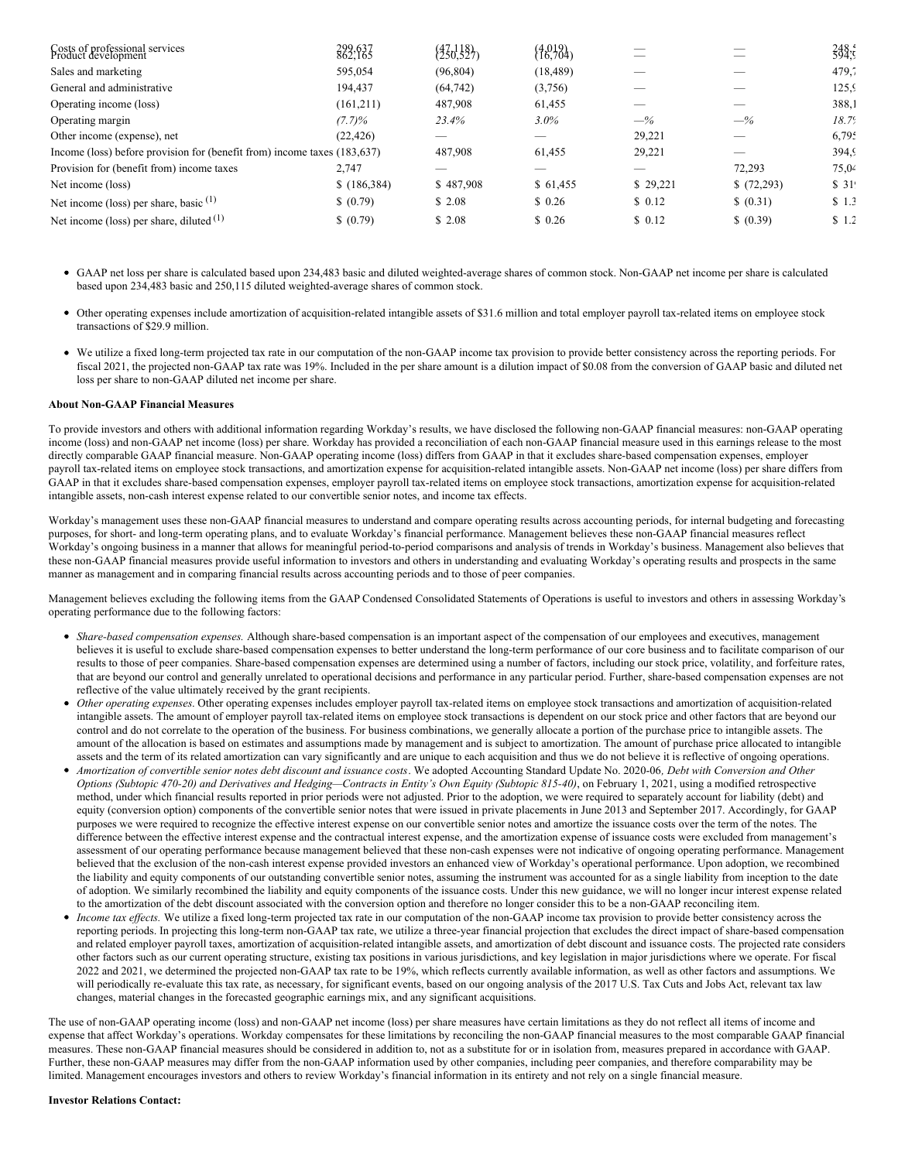| Costs of professional services<br>Product development                    | 299,637      | $(4\bar{2}30, 527)$ | $(4,019)$ <sub>18</sub> |          |            | 343.5 |
|--------------------------------------------------------------------------|--------------|---------------------|-------------------------|----------|------------|-------|
| Sales and marketing                                                      | 595,054      | (96, 804)           | (18, 489)               |          |            | 479.7 |
| General and administrative                                               | 194,437      | (64, 742)           | (3,756)                 |          |            | 125,9 |
| Operating income (loss)                                                  | (161,211)    | 487,908             | 61,455                  |          |            | 388,1 |
| Operating margin                                                         | (7.7)%       | 23.4%               | $3.0\%$                 | $-\%$    | $-\%$      | 18.79 |
| Other income (expense), net                                              | (22, 426)    | __                  |                         | 29.221   | _          | 6.795 |
| Income (loss) before provision for (benefit from) income taxes (183,637) |              | 487,908             | 61,455                  | 29,221   |            | 394.9 |
| Provision for (benefit from) income taxes                                | 2.747        |                     |                         |          | 72.293     | 75,04 |
| Net income (loss)                                                        | \$(186, 384) | \$487,908           | \$61.455                | \$29.221 | \$(72,293) | \$31  |
| Net income (loss) per share, basic $(1)$                                 | (0.79)       | \$2.08              | \$0.26                  | \$0.12   | \$ (0.31)  | \$1.3 |
| Net income (loss) per share, diluted $(1)$                               | (0.79)       | \$2.08              | \$0.26                  | \$0.12   | \$ (0.39)  | \$1.2 |

- GAAP net loss per share is calculated based upon 234,483 basic and diluted weighted-average shares of common stock. Non-GAAP net income per share is calculated based upon 234,483 basic and 250,115 diluted weighted-average shares of common stock.
- Other operating expenses include amortization of acquisition-related intangible assets of \$31.6 million and total employer payroll tax-related items on employee stock transactions of \$29.9 million.
- We utilize a fixed long-term projected tax rate in our computation of the non-GAAP income tax provision to provide better consistency across the reporting periods. For fiscal 2021, the projected non-GAAP tax rate was 19%. Included in the per share amount is a dilution impact of \$0.08 from the conversion of GAAP basic and diluted net loss per share to non-GAAP diluted net income per share.

# **About Non-GAAP Financial Measures**

To provide investors and others with additional information regarding Workday's results, we have disclosed the following non-GAAP financial measures: non-GAAP operating income (loss) and non-GAAP net income (loss) per share. Workday has provided a reconciliation of each non-GAAP financial measure used in this earnings release to the most directly comparable GAAP financial measure. Non-GAAP operating income (loss) differs from GAAP in that it excludes share-based compensation expenses, employer payroll tax-related items on employee stock transactions, and amortization expense for acquisition-related intangible assets. Non-GAAP net income (loss) per share differs from GAAP in that it excludes share-based compensation expenses, employer payroll tax-related items on employee stock transactions, amortization expense for acquisition-related intangible assets, non-cash interest expense related to our convertible senior notes, and income tax effects.

Workday's management uses these non-GAAP financial measures to understand and compare operating results across accounting periods, for internal budgeting and forecasting purposes, for short- and long-term operating plans, and to evaluate Workday's financial performance. Management believes these non-GAAP financial measures reflect Workday's ongoing business in a manner that allows for meaningful period-to-period comparisons and analysis of trends in Workday's business. Management also believes that these non-GAAP financial measures provide useful information to investors and others in understanding and evaluating Workday's operating results and prospects in the same manner as management and in comparing financial results across accounting periods and to those of peer companies.

Management believes excluding the following items from the GAAP Condensed Consolidated Statements of Operations is useful to investors and others in assessing Workday's operating performance due to the following factors:

- *Share-based compensation expenses.* Although share-based compensation is an important aspect of the compensation of our employees and executives, management believes it is useful to exclude share-based compensation expenses to better understand the long-term performance of our core business and to facilitate comparison of our results to those of peer companies. Share-based compensation expenses are determined using a number of factors, including our stock price, volatility, and forfeiture rates, that are beyond our control and generally unrelated to operational decisions and performance in any particular period. Further, share-based compensation expenses are not reflective of the value ultimately received by the grant recipients.
- *Other operating expenses*. Other operating expenses includes employer payroll tax-related items on employee stock transactions and amortization of acquisition-related intangible assets. The amount of employer payroll tax-related items on employee stock transactions is dependent on our stock price and other factors that are beyond our control and do not correlate to the operation of the business. For business combinations, we generally allocate a portion of the purchase price to intangible assets. The amount of the allocation is based on estimates and assumptions made by management and is subject to amortization. The amount of purchase price allocated to intangible assets and the term of its related amortization can vary significantly and are unique to each acquisition and thus we do not believe it is reflective of ongoing operations.
- Amortization of convertible senior notes debt discount and issuance costs. We adopted Accounting Standard Update No. 2020-06, Debt with Conversion and Other Options (Subtopic 470-20) and Derivatives and Hedging—Contracts in Entity's Own Equity (Subtopic 815-40), on February 1, 2021, using a modified retrospective method, under which financial results reported in prior periods were not adjusted. Prior to the adoption, we were required to separately account for liability (debt) and equity (conversion option) components of the convertible senior notes that were issued in private placements in June 2013 and September 2017. Accordingly, for GAAP purposes we were required to recognize the effective interest expense on our convertible senior notes and amortize the issuance costs over the term of the notes. The difference between the effective interest expense and the contractual interest expense, and the amortization expense of issuance costs were excluded from management's assessment of our operating performance because management believed that these non-cash expenses were not indicative of ongoing operating performance. Management believed that the exclusion of the non-cash interest expense provided investors an enhanced view of Workday's operational performance. Upon adoption, we recombined the liability and equity components of our outstanding convertible senior notes, assuming the instrument was accounted for as a single liability from inception to the date of adoption. We similarly recombined the liability and equity components of the issuance costs. Under this new guidance, we will no longer incur interest expense related to the amortization of the debt discount associated with the conversion option and therefore no longer consider this to be a non-GAAP reconciling item.
- *Income tax effects*. We utilize a fixed long-term projected tax rate in our computation of the non-GAAP income tax provision to provide better consistency across the reporting periods. In projecting this long-term non-GAAP tax rate, we utilize a three-year financial projection that excludes the direct impact of share-based compensation and related employer payroll taxes, amortization of acquisition-related intangible assets, and amortization of debt discount and issuance costs. The projected rate considers other factors such as our current operating structure, existing tax positions in various jurisdictions, and key legislation in major jurisdictions where we operate. For fiscal 2022 and 2021, we determined the projected non-GAAP tax rate to be 19%, which reflects currently available information, as well as other factors and assumptions. We will periodically re-evaluate this tax rate, as necessary, for significant events, based on our ongoing analysis of the 2017 U.S. Tax Cuts and Jobs Act, relevant tax law changes, material changes in the forecasted geographic earnings mix, and any significant acquisitions.

The use of non-GAAP operating income (loss) and non-GAAP net income (loss) per share measures have certain limitations as they do not reflect all items of income and expense that affect Workday's operations. Workday compensates for these limitations by reconciling the non-GAAP financial measures to the most comparable GAAP financial measures. These non-GAAP financial measures should be considered in addition to, not as a substitute for or in isolation from, measures prepared in accordance with GAAP. Further, these non-GAAP measures may differ from the non-GAAP information used by other companies, including peer companies, and therefore comparability may be limited. Management encourages investors and others to review Workday's financial information in its entirety and not rely on a single financial measure.